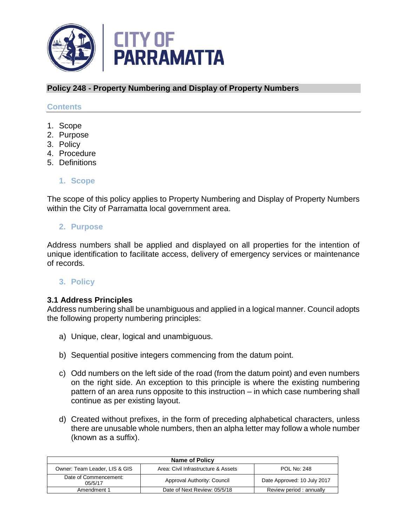

## **Policy 248 - Property Numbering and Display of Property Numbers**

#### **Contents**

- 1. Scope
- 2. Purpose
- 3. Policy
- 4. Procedure
- 5. Definitions

#### **1. Scope**

The scope of this policy applies to Property Numbering and Display of Property Numbers within the City of Parramatta local government area.

#### **2. Purpose**

Address numbers shall be applied and displayed on all properties for the intention of unique identification to facilitate access, delivery of emergency services or maintenance of records.

## **3. Policy**

## **3.1 Address Principles**

Address numbering shall be unambiguous and applied in a logical manner. Council adopts the following property numbering principles:

- a) Unique, clear, logical and unambiguous.
- b) Sequential positive integers commencing from the datum point.
- c) Odd numbers on the left side of the road (from the datum point) and even numbers on the right side. An exception to this principle is where the existing numbering pattern of an area runs opposite to this instruction – in which case numbering shall continue as per existing layout.
- d) Created without prefixes, in the form of preceding alphabetical characters, unless there are unusable whole numbers, then an alpha letter may follow a whole number (known as a suffix).

| <b>Name of Policy</b>            |                                     |                             |  |  |  |
|----------------------------------|-------------------------------------|-----------------------------|--|--|--|
| Owner: Team Leader, LIS & GIS    | Area: Civil Infrastructure & Assets | <b>POL No: 248</b>          |  |  |  |
| Date of Commencement:<br>05/5/17 | Approval Authority: Council         | Date Approved: 10 July 2017 |  |  |  |
| Amendment 1                      | Date of Next Review: 05/5/18        | Review period : annually    |  |  |  |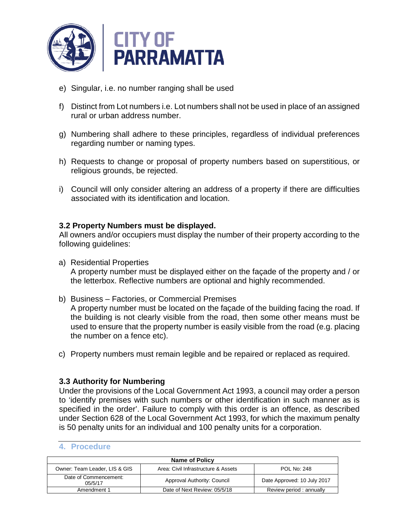

- e) Singular, i.e. no number ranging shall be used
- f) Distinct from Lot numbers i.e. Lot numbers shall not be used in place of an assigned rural or urban address number.
- g) Numbering shall adhere to these principles, regardless of individual preferences regarding number or naming types.
- h) Requests to change or proposal of property numbers based on superstitious, or religious grounds, be rejected.
- i) Council will only consider altering an address of a property if there are difficulties associated with its identification and location.

## **3.2 Property Numbers must be displayed.**

All owners and/or occupiers must display the number of their property according to the following guidelines:

- a) Residential Properties A property number must be displayed either on the façade of the property and / or the letterbox. Reflective numbers are optional and highly recommended.
- b) Business Factories, or Commercial Premises

A property number must be located on the façade of the building facing the road. If the building is not clearly visible from the road, then some other means must be used to ensure that the property number is easily visible from the road (e.g. placing the number on a fence etc).

c) Property numbers must remain legible and be repaired or replaced as required.

## **3.3 Authority for Numbering**

Under the provisions of the Local Government Act 1993, a council may order a person to 'identify premises with such numbers or other identification in such manner as is specified in the order'. Failure to comply with this order is an offence, as described under Section 628 of the Local Government Act 1993, for which the maximum penalty is 50 penalty units for an individual and 100 penalty units for a corporation.

| <b>Name of Policy</b>             |                                     |                             |  |  |  |
|-----------------------------------|-------------------------------------|-----------------------------|--|--|--|
| Owner: Team Leader, LIS & GIS     | Area: Civil Infrastructure & Assets | <b>POL No: 248</b>          |  |  |  |
| Date of Commencement:<br>0.5/5/17 | Approval Authority: Council         | Date Approved: 10 July 2017 |  |  |  |
| Amendment 1                       | Date of Next Review: 05/5/18        | Review period : annually    |  |  |  |

#### **4. Procedure**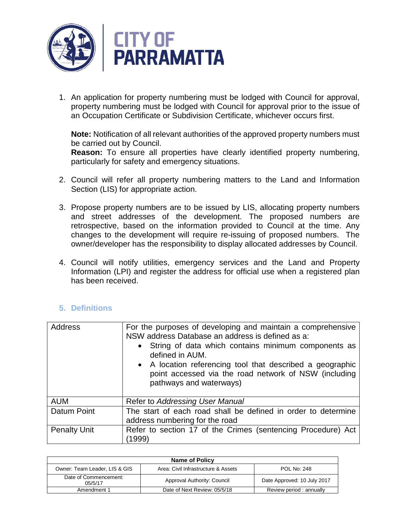

1. An application for property numbering must be lodged with Council for approval, property numbering must be lodged with Council for approval prior to the issue of an Occupation Certificate or Subdivision Certificate, whichever occurs first.

**Note:** Notification of all relevant authorities of the approved property numbers must be carried out by Council.

**Reason:** To ensure all properties have clearly identified property numbering, particularly for safety and emergency situations.

- 2. Council will refer all property numbering matters to the Land and Information Section (LIS) for appropriate action.
- 3. Propose property numbers are to be issued by LIS, allocating property numbers and street addresses of the development. The proposed numbers are retrospective, based on the information provided to Council at the time. Any changes to the development will require re-issuing of proposed numbers. The owner/developer has the responsibility to display allocated addresses by Council.
- 4. Council will notify utilities, emergency services and the Land and Property Information (LPI) and register the address for official use when a registered plan has been received.

# **5. Definitions**

| <b>Address</b>      | For the purposes of developing and maintain a comprehensive<br>NSW address Database an address is defined as a:<br>String of data which contains minimum components as<br>defined in AUM.<br>• A location referencing tool that described a geographic<br>point accessed via the road network of NSW (including<br>pathways and waterways) |
|---------------------|--------------------------------------------------------------------------------------------------------------------------------------------------------------------------------------------------------------------------------------------------------------------------------------------------------------------------------------------|
| <b>AUM</b>          | Refer to Addressing User Manual                                                                                                                                                                                                                                                                                                            |
| Datum Point         | The start of each road shall be defined in order to determine<br>address numbering for the road                                                                                                                                                                                                                                            |
| <b>Penalty Unit</b> | Refer to section 17 of the Crimes (sentencing Procedure) Act<br>(1999)                                                                                                                                                                                                                                                                     |

| <b>Name of Policy</b>             |                                     |                             |  |  |  |
|-----------------------------------|-------------------------------------|-----------------------------|--|--|--|
| Owner: Team Leader, LIS & GIS     | Area: Civil Infrastructure & Assets | <b>POL No: 248</b>          |  |  |  |
| Date of Commencement:<br>0.5/5/17 | Approval Authority: Council         | Date Approved: 10 July 2017 |  |  |  |
| Amendment 1                       | Date of Next Review: 05/5/18        | Review period: annually     |  |  |  |